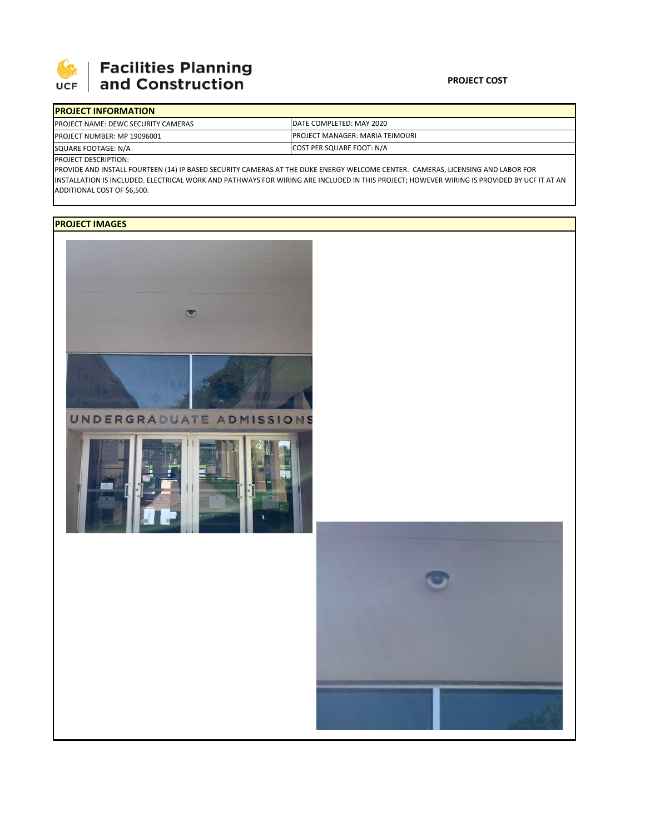

## **Facilities Planning**<br>and Construction

| <b>IPROJECT INFORMATION</b>                 |                                         |
|---------------------------------------------|-----------------------------------------|
| <b>IPROJECT NAME: DEWC SECURITY CAMERAS</b> | DATE COMPLETED: MAY 2020                |
| <b>PROJECT NUMBER: MP 19096001</b>          | <b>IPROJECT MANAGER: MARIA TEIMOURI</b> |
| SQUARE FOOTAGE: N/A                         | COST PER SQUARE FOOT: N/A               |

PROJECT DESCRIPTION:

PROVIDE AND INSTALL FOURTEEN (14) IP BASED SECURITY CAMERAS AT THE DUKE ENERGY WELCOME CENTER. CAMERAS, LICENSING AND LABOR FOR INSTALLATION IS INCLUDED. ELECTRICAL WORK AND PATHWAYS FOR WIRING ARE INCLUDED IN THIS PROJECT; HOWEVER WIRING IS PROVIDED BY UCF IT AT AN ADDITIONAL COST OF \$6,500.

## **PROJECT IMAGES**